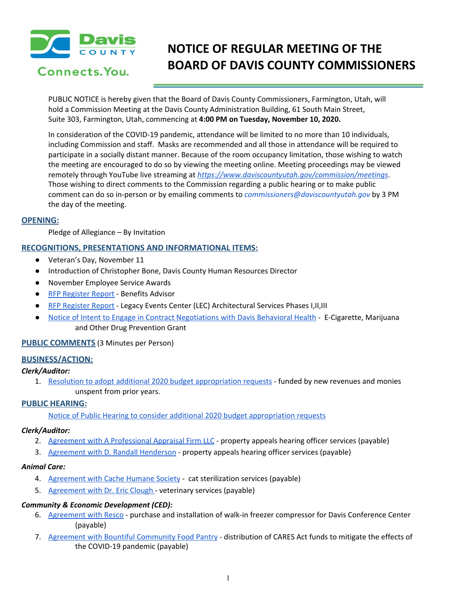

# Connects. You.

# **NOTICE OF REGULAR MEETING OF THE BOARD OF DAVIS COUNTY COMMISSIONERS**

PUBLIC NOTICE is hereby given that the Board of Davis County Commissioners, Farmington, Utah, will hold a Commission Meeting at the Davis County Administration Building, 61 South Main Street, Suite 303, Farmington, Utah, commencing at **4:00 PM on Tuesday, November 10, 2020.**

In consideration of the COVID-19 pandemic, attendance will be limited to no more than 10 individuals, including Commission and staff. Masks are recommended and all those in attendance will be required to participate in a socially distant manner. Because of the room occupancy limitation, those wishing to watch the meeting are encouraged to do so by viewing the meeting online. Meeting proceedings may be viewed remotely through YouTube live streaming at *<https://www.daviscountyutah.gov/commission/meetings>*. Those wishing to direct comments to the Commission regarding a public hearing or to make public comment can do so in-person or by emailing comments to *commissioners@daviscountyutah.gov* by 3 PM the day of the meeting.

#### **OPENING:**

Pledge of Allegiance – By Invitation

### **RECOGNITIONS, PRESENTATIONS AND INFORMATIONAL ITEMS:**

- Veteran's Day, November 11
- Introduction of Christopher Bone, Davis County Human Resources Director
- November Employee Service Awards
- RFP [Register](https://drive.google.com/file/d/1b_UwMDNtOsIiKV3TQyTkkizXPp4ys91w/view?usp=drivesdk) Report Benefits Advisor
- RFP [Register](https://drive.google.com/file/d/1WMzPMqe08tpDL3n_Me6LUSefcAb_Ak69/view?usp=drivesdk) Report Legacy Events Center (LEC) Architectural Services Phases I, II, III
- Notice of Intent to Engage in Contract [Negotiations](https://drive.google.com/file/d/1ike-XnDHM2RNBDU6GPEj0RHzXzcAcJvL/view?usp=drivesdk) with Davis Behavioral Health E-Cigarette, Marijuana and Other Drug Prevention Grant

#### **PUBLIC COMMENTS** (3 Minutes per Person)

#### **BUSINESS/ACTION:**

#### *Clerk/Auditor:*

1. Resolution to adopt additional 2020 budget [appropriation](https://drive.google.com/file/d/1vptKSvTWmNi1tGoARPwq_HKyftEGnASQ/view?usp=drivesdk) requests - funded by new revenues and monies unspent from prior years.

#### **PUBLIC HEARING:**

Notice of Public Hearing to consider additional 2020 budget [appropriation](https://drive.google.com/file/d/1W1C2JiHi3Cv52LbeR3rFhwScWWiCUQOY/view?usp=drivesdk) requests

#### *Clerk/Auditor:*

- 2. Agreement with A [Professional](https://drive.google.com/file/d/1Dxb4OFZ5rOw691_TWTYgNDvog4YNy_uq/view?usp=drivesdk) Appraisal Firm LLC property appeals hearing officer services (payable)
- 3. [Agreement](https://drive.google.com/file/d/1IL8B3Aq-U9GlzM3UtBWpDnN5d74HqYfR/view?usp=drivesdk) with D. Randall Henderson property appeals hearing officer services (payable)

#### *Animal Care:*

- 4. [Agreement](https://drive.google.com/file/d/1nxERkMqLjKA0BtJSEOAGyOn1l2EPHn8D/view?usp=drivesdk) with Cache Humane Society cat sterilization services (payable)
- 5. [Agreement](https://drive.google.com/file/d/1V10vy6FZCp3tIA_-CGtmjq5pQxNszT1p/view?usp=drivesdk) with Dr. Eric Clough veterinary services (payable[\)](https://drive.google.com/file/d/1Tlzutfgh5hxPNe1BGeYANu8R3ZlwJMan/view?usp=drivesdk)

#### *Community & Economic Development (CED):*

- 6. [Agreement](https://drive.google.com/file/d/1zOIcThd2_vXw1_QuN2q_EWASZiyF2Zgf/view?usp=drivesdk) with Resco purchase and installation of walk-in freezer compressor for Davis Conference Cente[r](https://drive.google.com/file/d/1zOIcThd2_vXw1_QuN2q_EWASZiyF2Zgf/view?usp=drivesdk) (payable)
- 7. Agreement with Bountiful [Community](https://drive.google.com/file/d/15fXjMpQrf5dUAeZfo1BP4nbqnMoTjOCR/view?usp=drivesdk) Food Pantry distribution of CARES Act funds to mitigate the effects of the COVID-19 pandemic (payable)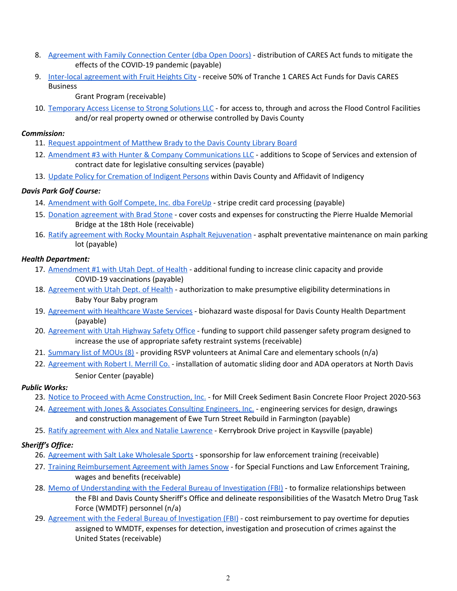- 8. Agreement with Family [Connection](https://drive.google.com/file/d/1j0LVgsoXOqM1mMlmgW775VHCpSdOu-CB/view?usp=drivesdk) Center (dba Open Doors) distribution of CARES Act funds to mitigate the effects of the COVID-19 pandemic (payable)
- 9. Inter-local [agreement](https://drive.google.com/file/d/1zlFmsfO6DBbAMv5X3g7kYCYlDhMJPE9m/view?usp=drivesdk) with Fruit Heights City receive 50% of Tranche 1 CARES Act Funds for Davis CARES Business

Grant Program (receivable)

10. [Temporary](https://drive.google.com/file/d/1jJTaUH7OD-6mmuaZWKc158PsK0ZIvdsh/view?usp=drivesdk) Access License to Strong Solutions LLC - for access to, through and across the Flood Control Facilities and/or real property owned or otherwise controlled by Davis County

### *Commission:*

- 11. Request [appointment](https://drive.google.com/file/d/1iR1QOgA0RJXv9_ytQWZpMLf54FJl-VD4/view?usp=drivesdk) of Matthew Brady to the Davis County Library Board
- 12. Amendment #3 with Hunter & Company [Communications](https://drive.google.com/file/d/1dKVWzjgL07KfQeJZHWQk4Ny5KUk7PmcN/view?usp=drivesdk) LLC additions to Scope of Services and extension of contract date for legislative consulting services (payable)
- 13. Update Policy for [Cremation](https://drive.google.com/file/d/1dBCV6qg7WcKYYk-KfajeNSVyUediyiEp/view?usp=drivesdk) of Indigent Persons within Davis County and Affidavit of Indigency

### *Davis Park Golf Course:*

- 14. [Amendment](https://drive.google.com/file/d/1x9zPHFMiGpUs05HwvYEE8KdrInf033Bx/view?usp=drivesdk) with Golf Compete, Inc. dba ForeUp stripe credit card processing (payable)
- 15. Donation [agreement](https://drive.google.com/file/d/17RBjr-7Ejq4Ss62aJ6Z9Hhl6edSJNEhU/view?usp=drivesdk) with Brad Stone cover costs and expenses for constructing the Pierre Hualde Memorial Bridge at the 18th Hole (receivable)
- 16. Ratify agreement with Rocky Mountain Asphalt [Rejuvenation](https://drive.google.com/file/d/1A_BJBucuNv4g931IAmOW7GVZBdG2i-hr/view?usp=drivesdk) asphalt preventative maintenance on main parking lot (payable)

### *Health Department:*

- 17. [Amendment](https://drive.google.com/file/d/1jtmuL3vWkYXH5qoA5GM1tUl6u9PwIJtQ/view?usp=drivesdk) #1 with Utah Dept. of Health additional funding to increase clinic capacity and provide COVID-19 vaccinations (payable)
- 18. [Agreement](https://drive.google.com/file/d/1mV30EfJWeA0wWyEyQ_VCXlY7vPIoHhX2/view?usp=drivesdk) with Utah Dept. of Health authorization to make presumptive eligibility determinations in Baby Your Baby program
- 19. [Agreement](https://drive.google.com/file/d/1w7KLskVPSUmdhiYaWlCNb2LcD3EroFZ5/view?usp=drivesdk) with Healthcare Waste Services biohazard waste disposal for Davis County Health Department (payable)
- 20. [Agreement](https://drive.google.com/file/d/1gvOKKZcGkGVFBPvDVO3O5z7rVQODjpBN/view?usp=drivesdk) with Utah Highway Safety Office funding to support child passenger safety program designed to increase the use of appropriate safety restraint systems (receivable)
- 21. [Summary](https://drive.google.com/file/d/1QY0nKguXkwz9U1kewuV_H7SAvgmMQs7m/view?usp=drivesdk) list of MOUs (8) providing RSVP volunteers at Animal Care and elementary schools (n/a)
- 22. [Agreement](https://drive.google.com/file/d/1cbbe-2E_RVZ1tleUn2XS41cWumP1EWgW/view?usp=drivesdk) with Robert I. Merrill Co. installation of automatic sliding door and ADA operators at North Davis Senior Center (payable)

# *Public Works:*

- 23. Notice to Proceed with Acme [Construction,](https://drive.google.com/file/d/1LAsjuBPDOwVZ46GxmElI0YpN3mbgD2Jk/view?usp=drivesdk) Inc. for Mill Creek Sediment Basin Concrete Floor Project 2020-563
- 24. [Agreement](https://drive.google.com/file/d/1lCJeY6V25sQaXCyGQPf4hk2b0_yhwrmu/view?usp=drivesdk) with Jones & Associates Consulting Engineers, Inc. engineering services for design, drawings and construction management of Ewe Turn Street Rebuild in Farmington (payable)
- 25. Ratify [agreement](https://drive.google.com/file/d/1uPFDCaDFtSwk18YVRRM0OYn69fBw1_Em/view?usp=drivesdk) with Alex and Natalie Lawrence Kerrybrook Drive project in Kaysville (payable)

# *Sheriff's Office:*

- 26. [Agreement](https://drive.google.com/file/d/1YsoBS1FbPza-sMEZ96_L9gZUpDHxnGom/view?usp=drivesdk) with Salt Lake Wholesale Sports sponsorship for law enforcement training (receivable)
- 27. Training [Reimbursement](https://drive.google.com/file/d/1ZLaftGukFVMl0IjCI2vWtbC1wzhPsJoU/view?usp=drivesdk) Agreement with James Snow for Special Functions and Law Enforcement Training, wages and benefits (receivable)
- 28. Memo of [Understanding](https://drive.google.com/file/d/12dQqaoyfmpzyW-_iUg9KXhShQ441Q7X5/view?usp=drivesdk) with the Federal Bureau of Investigation (FBI) to formalize relationships between the FBI and Davis County Sheriff's Office and delineate responsibilities of the Wasatch Metro Drug Task Force (WMDTF) personnel (n/a)
- 29. Agreement with the Federal Bureau of [Investigation](https://drive.google.com/file/d/1VctwF3gtSJLtiJShckvt7TybcIZobbzI/view?usp=drivesdk) (FBI) cost reimbursement to pay overtime for deputies assigned to WMDTF, expenses for detection, investigation and prosecution of crimes against the United States (receivable)